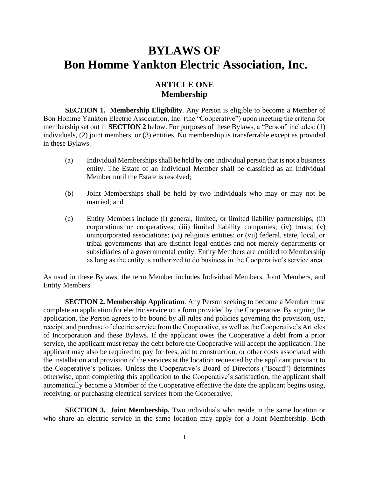# **BYLAWS OF Bon Homme Yankton Electric Association, Inc.**

### **ARTICLE ONE Membership**

**SECTION 1. Membership Eligibility**. Any Person is eligible to become a Member of Bon Homme Yankton Electric Association, Inc. (the "Cooperative") upon meeting the criteria for membership set out in **SECTION 2** below. For purposes of these Bylaws, a "Person" includes: (1) individuals, (2) joint members, or (3) entities. No membership is transferrable except as provided in these Bylaws.

- (a) Individual Memberships shall be held by one individual person that is not a business entity. The Estate of an Individual Member shall be classified as an Individual Member until the Estate is resolved;
- (b) Joint Memberships shall be held by two individuals who may or may not be married; and
- (c) Entity Members include (i) general, limited, or limited liability partnerships; (ii) corporations or cooperatives; (iii) limited liability companies; (iv) trusts; (v) unincorporated associations; (vi) religious entities; or (vii) federal, state, local, or tribal governments that are distinct legal entities and not merely departments or subsidiaries of a governmental entity. Entity Members are entitled to Membership as long as the entity is authorized to do business in the Cooperative's service area.

As used in these Bylaws, the term Member includes Individual Members, Joint Members, and Entity Members.

**SECTION 2. Membership Application**. Any Person seeking to become a Member must complete an application for electric service on a form provided by the Cooperative. By signing the application, the Person agrees to be bound by all rules and policies governing the provision, use, receipt, and purchase of electric service from the Cooperative, as well as the Cooperative's Articles of Incorporation and these Bylaws. If the applicant owes the Cooperative a debt from a prior service, the applicant must repay the debt before the Cooperative will accept the application. The applicant may also be required to pay for fees, aid to construction, or other costs associated with the installation and provision of the services at the location requested by the applicant pursuant to the Cooperative's policies. Unless the Cooperative's Board of Directors ("Board") determines otherwise, upon completing this application to the Cooperative's satisfaction, the applicant shall automatically become a Member of the Cooperative effective the date the applicant begins using, receiving, or purchasing electrical services from the Cooperative.

**SECTION 3. Joint Membership.** Two individuals who reside in the same location or who share an electric service in the same location may apply for a Joint Membership. Both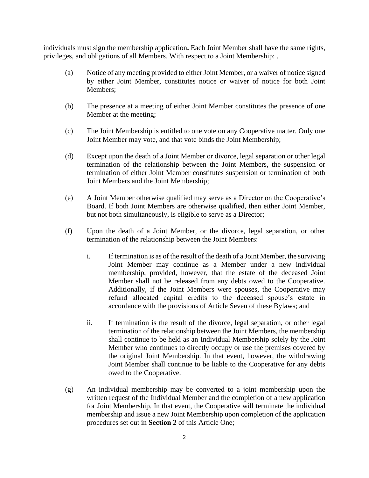individuals must sign the membership application**.** Each Joint Member shall have the same rights, privileges, and obligations of all Members. With respect to a Joint Membership: .

- (a) Notice of any meeting provided to either Joint Member, or a waiver of notice signed by either Joint Member, constitutes notice or waiver of notice for both Joint Members;
- (b) The presence at a meeting of either Joint Member constitutes the presence of one Member at the meeting;
- (c) The Joint Membership is entitled to one vote on any Cooperative matter. Only one Joint Member may vote, and that vote binds the Joint Membership;
- (d) Except upon the death of a Joint Member or divorce, legal separation or other legal termination of the relationship between the Joint Members, the suspension or termination of either Joint Member constitutes suspension or termination of both Joint Members and the Joint Membership;
- (e) A Joint Member otherwise qualified may serve as a Director on the Cooperative's Board. If both Joint Members are otherwise qualified, then either Joint Member, but not both simultaneously, is eligible to serve as a Director;
- (f) Upon the death of a Joint Member, or the divorce, legal separation, or other termination of the relationship between the Joint Members:
	- i. If termination is as of the result of the death of a Joint Member, the surviving Joint Member may continue as a Member under a new individual membership, provided, however, that the estate of the deceased Joint Member shall not be released from any debts owed to the Cooperative. Additionally, if the Joint Members were spouses, the Cooperative may refund allocated capital credits to the deceased spouse's estate in accordance with the provisions of Article Seven of these Bylaws; and
	- ii. If termination is the result of the divorce, legal separation, or other legal termination of the relationship between the Joint Members, the membership shall continue to be held as an Individual Membership solely by the Joint Member who continues to directly occupy or use the premises covered by the original Joint Membership. In that event, however, the withdrawing Joint Member shall continue to be liable to the Cooperative for any debts owed to the Cooperative.
- (g) An individual membership may be converted to a joint membership upon the written request of the Individual Member and the completion of a new application for Joint Membership. In that event, the Cooperative will terminate the individual membership and issue a new Joint Membership upon completion of the application procedures set out in **Section 2** of this Article One;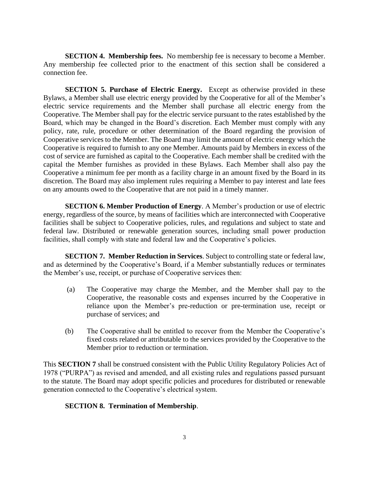**SECTION 4. Membership fees.** No membership fee is necessary to become a Member. Any membership fee collected prior to the enactment of this section shall be considered a connection fee.

**SECTION 5. Purchase of Electric Energy.** Except as otherwise provided in these Bylaws, a Member shall use electric energy provided by the Cooperative for all of the Member's electric service requirements and the Member shall purchase all electric energy from the Cooperative. The Member shall pay for the electric service pursuant to the rates established by the Board, which may be changed in the Board's discretion. Each Member must comply with any policy, rate, rule, procedure or other determination of the Board regarding the provision of Cooperative services to the Member. The Board may limit the amount of electric energy which the Cooperative is required to furnish to any one Member. Amounts paid by Members in excess of the cost of service are furnished as capital to the Cooperative. Each member shall be credited with the capital the Member furnishes as provided in these Bylaws. Each Member shall also pay the Cooperative a minimum fee per month as a facility charge in an amount fixed by the Board in its discretion. The Board may also implement rules requiring a Member to pay interest and late fees on any amounts owed to the Cooperative that are not paid in a timely manner.

**SECTION 6. Member Production of Energy**. A Member's production or use of electric energy, regardless of the source, by means of facilities which are interconnected with Cooperative facilities shall be subject to Cooperative policies, rules, and regulations and subject to state and federal law. Distributed or renewable generation sources, including small power production facilities, shall comply with state and federal law and the Cooperative's policies.

**SECTION 7. Member Reduction in Services**. Subject to controlling state or federal law, and as determined by the Cooperative's Board, if a Member substantially reduces or terminates the Member's use, receipt, or purchase of Cooperative services then:

- (a) The Cooperative may charge the Member, and the Member shall pay to the Cooperative, the reasonable costs and expenses incurred by the Cooperative in reliance upon the Member's pre-reduction or pre-termination use, receipt or purchase of services; and
- (b) The Cooperative shall be entitled to recover from the Member the Cooperative's fixed costs related or attributable to the services provided by the Cooperative to the Member prior to reduction or termination.

This **SECTION 7** shall be construed consistent with the Public Utility Regulatory Policies Act of 1978 ("PURPA") as revised and amended, and all existing rules and regulations passed pursuant to the statute. The Board may adopt specific policies and procedures for distributed or renewable generation connected to the Cooperative's electrical system.

#### **SECTION 8. Termination of Membership**.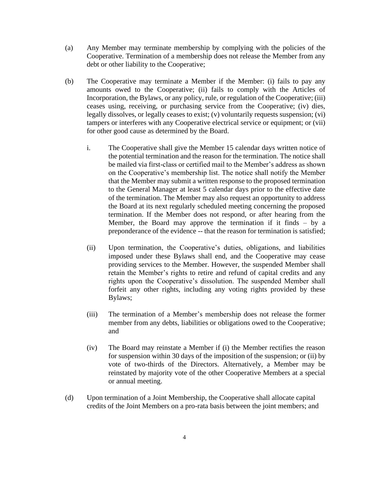- (a) Any Member may terminate membership by complying with the policies of the Cooperative. Termination of a membership does not release the Member from any debt or other liability to the Cooperative;
- (b) The Cooperative may terminate a Member if the Member: (i) fails to pay any amounts owed to the Cooperative; (ii) fails to comply with the Articles of Incorporation, the Bylaws, or any policy, rule, or regulation of the Cooperative; (iii) ceases using, receiving, or purchasing service from the Cooperative; (iv) dies, legally dissolves, or legally ceases to exist; (v) voluntarily requests suspension; (vi) tampers or interferes with any Cooperative electrical service or equipment; or (vii) for other good cause as determined by the Board.
	- i. The Cooperative shall give the Member 15 calendar days written notice of the potential termination and the reason for the termination. The notice shall be mailed via first-class or certified mail to the Member's address as shown on the Cooperative's membership list. The notice shall notify the Member that the Member may submit a written response to the proposed termination to the General Manager at least 5 calendar days prior to the effective date of the termination. The Member may also request an opportunity to address the Board at its next regularly scheduled meeting concerning the proposed termination. If the Member does not respond, or after hearing from the Member, the Board may approve the termination if it finds – by a preponderance of the evidence -- that the reason for termination is satisfied;
	- (ii) Upon termination, the Cooperative's duties, obligations, and liabilities imposed under these Bylaws shall end, and the Cooperative may cease providing services to the Member. However, the suspended Member shall retain the Member's rights to retire and refund of capital credits and any rights upon the Cooperative's dissolution. The suspended Member shall forfeit any other rights, including any voting rights provided by these Bylaws;
	- (iii) The termination of a Member's membership does not release the former member from any debts, liabilities or obligations owed to the Cooperative; and
	- (iv) The Board may reinstate a Member if (i) the Member rectifies the reason for suspension within 30 days of the imposition of the suspension; or (ii) by vote of two-thirds of the Directors. Alternatively, a Member may be reinstated by majority vote of the other Cooperative Members at a special or annual meeting.
- (d) Upon termination of a Joint Membership, the Cooperative shall allocate capital credits of the Joint Members on a pro-rata basis between the joint members; and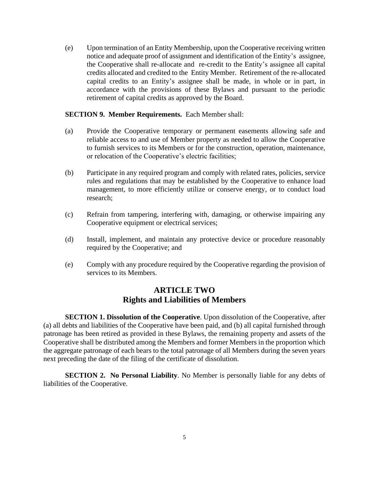(e) Upon termination of an Entity Membership, upon the Cooperative receiving written notice and adequate proof of assignment and identification of the Entity's assignee, the Cooperative shall re-allocate and re-credit to the Entity's assignee all capital credits allocated and credited to the Entity Member. Retirement of the re-allocated capital credits to an Entity's assignee shall be made, in whole or in part, in accordance with the provisions of these Bylaws and pursuant to the periodic retirement of capital credits as approved by the Board.

#### **SECTION 9. Member Requirements.** Each Member shall:

- (a) Provide the Cooperative temporary or permanent easements allowing safe and reliable access to and use of Member property as needed to allow the Cooperative to furnish services to its Members or for the construction, operation, maintenance, or relocation of the Cooperative's electric facilities;
- (b) Participate in any required program and comply with related rates, policies, service rules and regulations that may be established by the Cooperative to enhance load management, to more efficiently utilize or conserve energy, or to conduct load research;
- (c) Refrain from tampering, interfering with, damaging, or otherwise impairing any Cooperative equipment or electrical services;
- (d) Install, implement, and maintain any protective device or procedure reasonably required by the Cooperative; and
- (e) Comply with any procedure required by the Cooperative regarding the provision of services to its Members.

### **ARTICLE TWO Rights and Liabilities of Members**

**SECTION 1. Dissolution of the Cooperative**. Upon dissolution of the Cooperative, after (a) all debts and liabilities of the Cooperative have been paid, and (b) all capital furnished through patronage has been retired as provided in these Bylaws, the remaining property and assets of the Cooperative shall be distributed among the Members and former Members in the proportion which the aggregate patronage of each bears to the total patronage of all Members during the seven years next preceding the date of the filing of the certificate of dissolution.

**SECTION 2. No Personal Liability**. No Member is personally liable for any debts of liabilities of the Cooperative.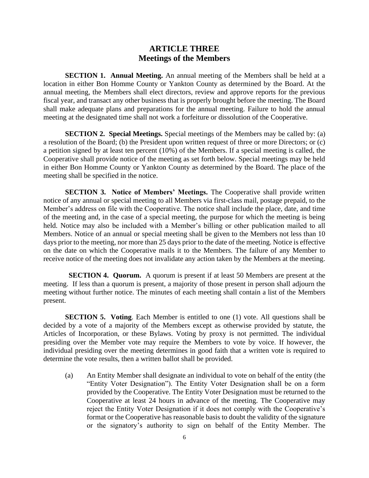#### **ARTICLE THREE Meetings of the Members**

**SECTION 1. Annual Meeting.** An annual meeting of the Members shall be held at a location in either Bon Homme County or Yankton County as determined by the Board. At the annual meeting, the Members shall elect directors, review and approve reports for the previous fiscal year, and transact any other business that is properly brought before the meeting. The Board shall make adequate plans and preparations for the annual meeting. Failure to hold the annual meeting at the designated time shall not work a forfeiture or dissolution of the Cooperative.

**SECTION 2. Special Meetings.** Special meetings of the Members may be called by: (a) a resolution of the Board; (b) the President upon written request of three or more Directors; or (c) a petition signed by at least ten percent (10%) of the Members. If a special meeting is called, the Cooperative shall provide notice of the meeting as set forth below. Special meetings may be held in either Bon Homme County or Yankton County as determined by the Board. The place of the meeting shall be specified in the notice.

**SECTION 3. Notice of Members' Meetings.** The Cooperative shall provide written notice of any annual or special meeting to all Members via first-class mail, postage prepaid, to the Member's address on file with the Cooperative. The notice shall include the place, date, and time of the meeting and, in the case of a special meeting, the purpose for which the meeting is being held. Notice may also be included with a Member's billing or other publication mailed to all Members. Notice of an annual or special meeting shall be given to the Members not less than 10 days prior to the meeting, nor more than 25 days prior to the date of the meeting. Notice is effective on the date on which the Cooperative mails it to the Members. The failure of any Member to receive notice of the meeting does not invalidate any action taken by the Members at the meeting.

 **SECTION 4. Quorum.** A quorum is present if at least 50 Members are present at the meeting. If less than a quorum is present, a majority of those present in person shall adjourn the meeting without further notice. The minutes of each meeting shall contain a list of the Members present.

**SECTION 5. Voting**. Each Member is entitled to one (1) vote. All questions shall be decided by a vote of a majority of the Members except as otherwise provided by statute, the Articles of Incorporation, or these Bylaws. Voting by proxy is not permitted. The individual presiding over the Member vote may require the Members to vote by voice. If however, the individual presiding over the meeting determines in good faith that a written vote is required to determine the vote results, then a written ballot shall be provided.

(a) An Entity Member shall designate an individual to vote on behalf of the entity (the "Entity Voter Designation"). The Entity Voter Designation shall be on a form provided by the Cooperative. The Entity Voter Designation must be returned to the Cooperative at least 24 hours in advance of the meeting. The Cooperative may reject the Entity Voter Designation if it does not comply with the Cooperative's format or the Cooperative has reasonable basis to doubt the validity of the signature or the signatory's authority to sign on behalf of the Entity Member. The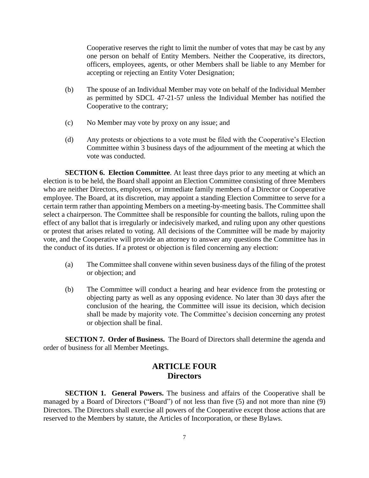Cooperative reserves the right to limit the number of votes that may be cast by any one person on behalf of Entity Members. Neither the Cooperative, its directors, officers, employees, agents, or other Members shall be liable to any Member for accepting or rejecting an Entity Voter Designation;

- (b) The spouse of an Individual Member may vote on behalf of the Individual Member as permitted by SDCL 47-21-57 unless the Individual Member has notified the Cooperative to the contrary;
- (c) No Member may vote by proxy on any issue; and
- (d) Any protests or objections to a vote must be filed with the Cooperative's Election Committee within 3 business days of the adjournment of the meeting at which the vote was conducted.

**SECTION 6. Election Committee.** At least three days prior to any meeting at which an election is to be held, the Board shall appoint an Election Committee consisting of three Members who are neither Directors, employees, or immediate family members of a Director or Cooperative employee. The Board, at its discretion, may appoint a standing Election Committee to serve for a certain term rather than appointing Members on a meeting-by-meeting basis. The Committee shall select a chairperson. The Committee shall be responsible for counting the ballots, ruling upon the effect of any ballot that is irregularly or indecisively marked, and ruling upon any other questions or protest that arises related to voting. All decisions of the Committee will be made by majority vote, and the Cooperative will provide an attorney to answer any questions the Committee has in the conduct of its duties. If a protest or objection is filed concerning any election:

- (a) The Committee shall convene within seven business days of the filing of the protest or objection; and
- (b) The Committee will conduct a hearing and hear evidence from the protesting or objecting party as well as any opposing evidence. No later than 30 days after the conclusion of the hearing, the Committee will issue its decision, which decision shall be made by majority vote. The Committee's decision concerning any protest or objection shall be final.

**SECTION 7. Order of Business.** The Board of Directors shall determine the agenda and order of business for all Member Meetings.

### **ARTICLE FOUR Directors**

**SECTION 1. General Powers.** The business and affairs of the Cooperative shall be managed by a Board of Directors ("Board") of not less than five (5) and not more than nine (9) Directors. The Directors shall exercise all powers of the Cooperative except those actions that are reserved to the Members by statute, the Articles of Incorporation, or these Bylaws.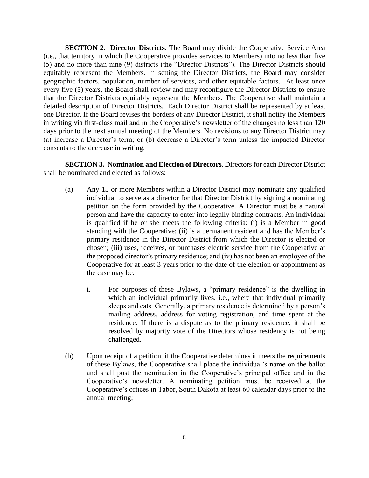**SECTION 2. Director Districts.** The Board may divide the Cooperative Service Area (i.e., that territory in which the Cooperative provides services to Members) into no less than five (5) and no more than nine (9) districts (the "Director Districts"). The Director Districts should equitably represent the Members. In setting the Director Districts, the Board may consider geographic factors, population, number of services, and other equitable factors. At least once every five (5) years, the Board shall review and may reconfigure the Director Districts to ensure that the Director Districts equitably represent the Members. The Cooperative shall maintain a detailed description of Director Districts. Each Director District shall be represented by at least one Director. If the Board revises the borders of any Director District, it shall notify the Members in writing via first-class mail and in the Cooperative's newsletter of the changes no less than 120 days prior to the next annual meeting of the Members. No revisions to any Director District may (a) increase a Director's term; or (b) decrease a Director's term unless the impacted Director consents to the decrease in writing.

**SECTION 3. Nomination and Election of Directors**. Directors for each Director District shall be nominated and elected as follows:

- (a) Any 15 or more Members within a Director District may nominate any qualified individual to serve as a director for that Director District by signing a nominating petition on the form provided by the Cooperative. A Director must be a natural person and have the capacity to enter into legally binding contracts. An individual is qualified if he or she meets the following criteria: (i) is a Member in good standing with the Cooperative; (ii) is a permanent resident and has the Member's primary residence in the Director District from which the Director is elected or chosen; (iii) uses, receives, or purchases electric service from the Cooperative at the proposed director's primary residence; and (iv) has not been an employee of the Cooperative for at least 3 years prior to the date of the election or appointment as the case may be.
	- i. For purposes of these Bylaws, a "primary residence" is the dwelling in which an individual primarily lives, i.e., where that individual primarily sleeps and eats. Generally, a primary residence is determined by a person's mailing address, address for voting registration, and time spent at the residence. If there is a dispute as to the primary residence, it shall be resolved by majority vote of the Directors whose residency is not being challenged.
- (b) Upon receipt of a petition, if the Cooperative determines it meets the requirements of these Bylaws, the Cooperative shall place the individual's name on the ballot and shall post the nomination in the Cooperative's principal office and in the Cooperative's newsletter. A nominating petition must be received at the Cooperative's offices in Tabor, South Dakota at least 60 calendar days prior to the annual meeting;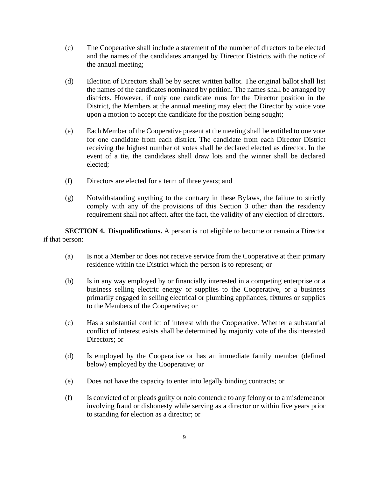- (c) The Cooperative shall include a statement of the number of directors to be elected and the names of the candidates arranged by Director Districts with the notice of the annual meeting;
- (d) Election of Directors shall be by secret written ballot. The original ballot shall list the names of the candidates nominated by petition. The names shall be arranged by districts. However, if only one candidate runs for the Director position in the District, the Members at the annual meeting may elect the Director by voice vote upon a motion to accept the candidate for the position being sought;
- (e) Each Member of the Cooperative present at the meeting shall be entitled to one vote for one candidate from each district. The candidate from each Director District receiving the highest number of votes shall be declared elected as director. In the event of a tie, the candidates shall draw lots and the winner shall be declared elected;
- (f) Directors are elected for a term of three years; and
- (g) Notwithstanding anything to the contrary in these Bylaws, the failure to strictly comply with any of the provisions of this Section 3 other than the residency requirement shall not affect, after the fact, the validity of any election of directors.

**SECTION 4. Disqualifications.** A person is not eligible to become or remain a Director if that person:

- (a) Is not a Member or does not receive service from the Cooperative at their primary residence within the District which the person is to represent; or
- (b) Is in any way employed by or financially interested in a competing enterprise or a business selling electric energy or supplies to the Cooperative, or a business primarily engaged in selling electrical or plumbing appliances, fixtures or supplies to the Members of the Cooperative; or
- (c) Has a substantial conflict of interest with the Cooperative. Whether a substantial conflict of interest exists shall be determined by majority vote of the disinterested Directors; or
- (d) Is employed by the Cooperative or has an immediate family member (defined below) employed by the Cooperative; or
- (e) Does not have the capacity to enter into legally binding contracts; or
- (f) Is convicted of or pleads guilty or nolo contendre to any felony or to a misdemeanor involving fraud or dishonesty while serving as a director or within five years prior to standing for election as a director; or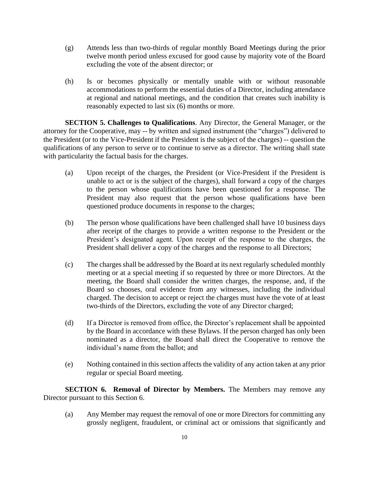- (g) Attends less than two-thirds of regular monthly Board Meetings during the prior twelve month period unless excused for good cause by majority vote of the Board excluding the vote of the absent director; or
- (h) Is or becomes physically or mentally unable with or without reasonable accommodations to perform the essential duties of a Director, including attendance at regional and national meetings, and the condition that creates such inability is reasonably expected to last six (6) months or more.

**SECTION 5. Challenges to Qualifications**. Any Director, the General Manager, or the attorney for the Cooperative, may -- by written and signed instrument (the "charges") delivered to the President (or to the Vice-President if the President is the subject of the charges) -- question the qualifications of any person to serve or to continue to serve as a director. The writing shall state with particularity the factual basis for the charges.

- (a) Upon receipt of the charges, the President (or Vice-President if the President is unable to act or is the subject of the charges), shall forward a copy of the charges to the person whose qualifications have been questioned for a response. The President may also request that the person whose qualifications have been questioned produce documents in response to the charges;
- (b) The person whose qualifications have been challenged shall have 10 business days after receipt of the charges to provide a written response to the President or the President's designated agent. Upon receipt of the response to the charges, the President shall deliver a copy of the charges and the response to all Directors;
- (c) The charges shall be addressed by the Board at its next regularly scheduled monthly meeting or at a special meeting if so requested by three or more Directors. At the meeting, the Board shall consider the written charges, the response, and, if the Board so chooses, oral evidence from any witnesses, including the individual charged. The decision to accept or reject the charges must have the vote of at least two-thirds of the Directors, excluding the vote of any Director charged;
- (d) If a Director is removed from office, the Director's replacement shall be appointed by the Board in accordance with these Bylaws. If the person charged has only been nominated as a director, the Board shall direct the Cooperative to remove the individual's name from the ballot; and
- (e) Nothing contained in this section affects the validity of any action taken at any prior regular or special Board meeting.

**SECTION 6. Removal of Director by Members.** The Members may remove any Director pursuant to this Section 6.

(a) Any Member may request the removal of one or more Directors for committing any grossly negligent, fraudulent, or criminal act or omissions that significantly and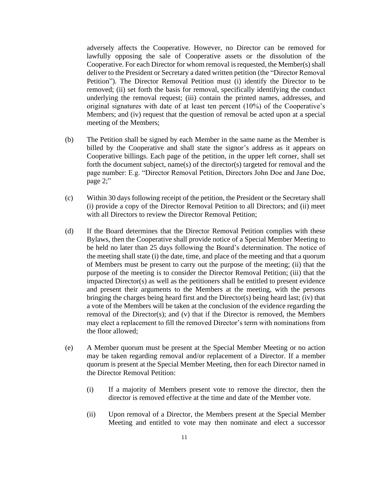adversely affects the Cooperative. However, no Director can be removed for lawfully opposing the sale of Cooperative assets or the dissolution of the Cooperative. For each Director for whom removal is requested, the Member(s) shall deliver to the President or Secretary a dated written petition (the "Director Removal Petition"). The Director Removal Petition must (i) identify the Director to be removed; (ii) set forth the basis for removal, specifically identifying the conduct underlying the removal request; (iii) contain the printed names, addresses, and original signatures with date of at least ten percent (10%) of the Cooperative's Members; and (iv) request that the question of removal be acted upon at a special meeting of the Members;

- (b) The Petition shall be signed by each Member in the same name as the Member is billed by the Cooperative and shall state the signor's address as it appears on Cooperative billings. Each page of the petition, in the upper left corner, shall set forth the document subject, name(s) of the director(s) targeted for removal and the page number: E.g. "Director Removal Petition, Directors John Doe and Jane Doe, page 2;"
- (c) Within 30 days following receipt of the petition, the President or the Secretary shall (i) provide a copy of the Director Removal Petition to all Directors; and (ii) meet with all Directors to review the Director Removal Petition;
- (d) If the Board determines that the Director Removal Petition complies with these Bylaws, then the Cooperative shall provide notice of a Special Member Meeting to be held no later than 25 days following the Board's determination. The notice of the meeting shall state (i) the date, time, and place of the meeting and that a quorum of Members must be present to carry out the purpose of the meeting; (ii) that the purpose of the meeting is to consider the Director Removal Petition; (iii) that the impacted Director(s) as well as the petitioners shall be entitled to present evidence and present their arguments to the Members at the meeting, with the persons bringing the charges being heard first and the Director(s) being heard last; (iv) that a vote of the Members will be taken at the conclusion of the evidence regarding the removal of the Director(s); and (v) that if the Director is removed, the Members may elect a replacement to fill the removed Director's term with nominations from the floor allowed;
- (e) A Member quorum must be present at the Special Member Meeting or no action may be taken regarding removal and/or replacement of a Director. If a member quorum is present at the Special Member Meeting, then for each Director named in the Director Removal Petition:
	- (i) If a majority of Members present vote to remove the director, then the director is removed effective at the time and date of the Member vote.
	- (ii) Upon removal of a Director, the Members present at the Special Member Meeting and entitled to vote may then nominate and elect a successor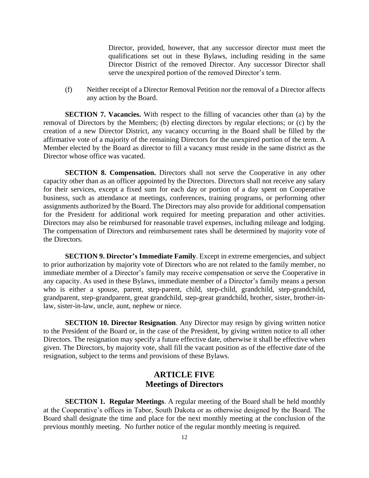Director, provided, however, that any successor director must meet the qualifications set out in these Bylaws, including residing in the same Director District of the removed Director. Any successor Director shall serve the unexpired portion of the removed Director's term.

(f) Neither receipt of a Director Removal Petition nor the removal of a Director affects any action by the Board.

**SECTION 7. Vacancies.** With respect to the filling of vacancies other than (a) by the removal of Directors by the Members; (b) electing directors by regular elections; or (c) by the creation of a new Director District, any vacancy occurring in the Board shall be filled by the affirmative vote of a majority of the remaining Directors for the unexpired portion of the term. A Member elected by the Board as director to fill a vacancy must reside in the same district as the Director whose office was vacated.

**SECTION 8. Compensation.** Directors shall not serve the Cooperative in any other capacity other than as an officer appointed by the Directors. Directors shall not receive any salary for their services, except a fixed sum for each day or portion of a day spent on Cooperative business, such as attendance at meetings, conferences, training programs, or performing other assignments authorized by the Board. The Directors may also provide for additional compensation for the President for additional work required for meeting preparation and other activities. Directors may also be reimbursed for reasonable travel expenses, including mileage and lodging. The compensation of Directors and reimbursement rates shall be determined by majority vote of the Directors.

 **SECTION 9. Director's Immediate Family**. Except in extreme emergencies, and subject to prior authorization by majority vote of Directors who are not related to the family member, no immediate member of a Director's family may receive compensation or serve the Cooperative in any capacity. As used in these Bylaws, immediate member of a Director's family means a person who is either a spouse, parent, step-parent, child, step-child, grandchild, step-grandchild, grandparent, step-grandparent, great grandchild, step-great grandchild, brother, sister, brother-inlaw, sister-in-law, uncle, aunt, nephew or niece.

**SECTION 10. Director Resignation**. Any Director may resign by giving written notice to the President of the Board or, in the case of the President, by giving written notice to all other Directors. The resignation may specify a future effective date, otherwise it shall be effective when given. The Directors, by majority vote, shall fill the vacant position as of the effective date of the resignation, subject to the terms and provisions of these Bylaws.

#### **ARTICLE FIVE Meetings of Directors**

**SECTION 1. Regular Meetings**. A regular meeting of the Board shall be held monthly at the Cooperative's offices in Tabor, South Dakota or as otherwise designed by the Board. The Board shall designate the time and place for the next monthly meeting at the conclusion of the previous monthly meeting. No further notice of the regular monthly meeting is required.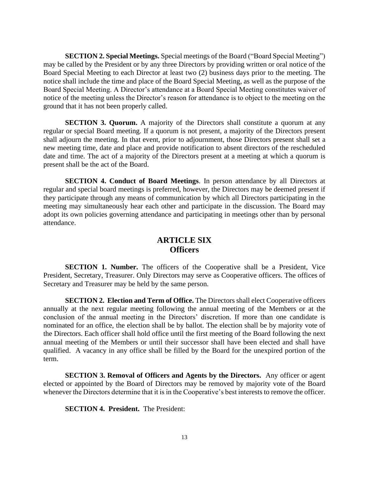**SECTION 2. Special Meetings.** Special meetings of the Board ("Board Special Meeting") may be called by the President or by any three Directors by providing written or oral notice of the Board Special Meeting to each Director at least two (2) business days prior to the meeting. The notice shall include the time and place of the Board Special Meeting, as well as the purpose of the Board Special Meeting. A Director's attendance at a Board Special Meeting constitutes waiver of notice of the meeting unless the Director's reason for attendance is to object to the meeting on the ground that it has not been properly called.

**SECTION 3. Quorum.** A majority of the Directors shall constitute a quorum at any regular or special Board meeting. If a quorum is not present, a majority of the Directors present shall adjourn the meeting. In that event, prior to adjournment, those Directors present shall set a new meeting time, date and place and provide notification to absent directors of the rescheduled date and time. The act of a majority of the Directors present at a meeting at which a quorum is present shall be the act of the Board.

**SECTION 4. Conduct of Board Meetings**. In person attendance by all Directors at regular and special board meetings is preferred, however, the Directors may be deemed present if they participate through any means of communication by which all Directors participating in the meeting may simultaneously hear each other and participate in the discussion. The Board may adopt its own policies governing attendance and participating in meetings other than by personal attendance.

### **ARTICLE SIX Officers**

**SECTION 1. Number.** The officers of the Cooperative shall be a President, Vice President, Secretary, Treasurer. Only Directors may serve as Cooperative officers. The offices of Secretary and Treasurer may be held by the same person.

**SECTION 2. Election and Term of Office.** The Directors shall elect Cooperative officers annually at the next regular meeting following the annual meeting of the Members or at the conclusion of the annual meeting in the Directors' discretion. If more than one candidate is nominated for an office, the election shall be by ballot. The election shall be by majority vote of the Directors. Each officer shall hold office until the first meeting of the Board following the next annual meeting of the Members or until their successor shall have been elected and shall have qualified. A vacancy in any office shall be filled by the Board for the unexpired portion of the term.

**SECTION 3. Removal of Officers and Agents by the Directors.** Any officer or agent elected or appointed by the Board of Directors may be removed by majority vote of the Board whenever the Directors determine that it is in the Cooperative's best interests to remove the officer.

**SECTION 4. President.** The President: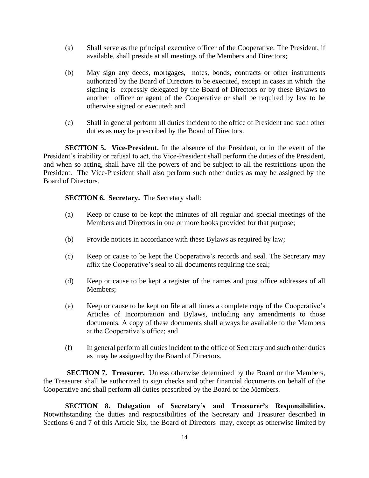- (a) Shall serve as the principal executive officer of the Cooperative. The President, if available, shall preside at all meetings of the Members and Directors;
- (b) May sign any deeds, mortgages, notes, bonds, contracts or other instruments authorized by the Board of Directors to be executed, except in cases in which the signing is expressly delegated by the Board of Directors or by these Bylaws to another officer or agent of the Cooperative or shall be required by law to be otherwise signed or executed; and
- (c) Shall in general perform all duties incident to the office of President and such other duties as may be prescribed by the Board of Directors.

**SECTION 5. Vice-President.** In the absence of the President, or in the event of the President's inability or refusal to act, the Vice-President shall perform the duties of the President, and when so acting, shall have all the powers of and be subject to all the restrictions upon the President. The Vice-President shall also perform such other duties as may be assigned by the Board of Directors.

**SECTION 6. Secretary.** The Secretary shall:

- (a) Keep or cause to be kept the minutes of all regular and special meetings of the Members and Directors in one or more books provided for that purpose;
- (b) Provide notices in accordance with these Bylaws as required by law;
- (c) Keep or cause to be kept the Cooperative's records and seal. The Secretary may affix the Cooperative's seal to all documents requiring the seal;
- (d) Keep or cause to be kept a register of the names and post office addresses of all Members;
- (e) Keep or cause to be kept on file at all times a complete copy of the Cooperative's Articles of Incorporation and Bylaws, including any amendments to those documents. A copy of these documents shall always be available to the Members at the Cooperative's office; and
- (f) In general perform all duties incident to the office of Secretary and such other duties as may be assigned by the Board of Directors.

**SECTION 7. Treasurer.** Unless otherwise determined by the Board or the Members, the Treasurer shall be authorized to sign checks and other financial documents on behalf of the Cooperative and shall perform all duties prescribed by the Board or the Members.

**SECTION 8. Delegation of Secretary's and Treasurer's Responsibilities.** Notwithstanding the duties and responsibilities of the Secretary and Treasurer described in Sections 6 and 7 of this Article Six, the Board of Directors may, except as otherwise limited by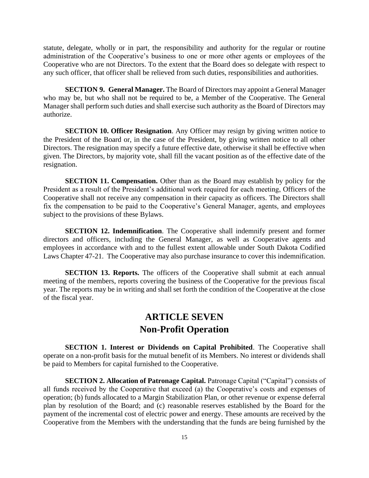statute, delegate, wholly or in part, the responsibility and authority for the regular or routine administration of the Cooperative's business to one or more other agents or employees of the Cooperative who are not Directors. To the extent that the Board does so delegate with respect to any such officer, that officer shall be relieved from such duties, responsibilities and authorities.

**SECTION 9. General Manager.** The Board of Directors may appoint a General Manager who may be, but who shall not be required to be, a Member of the Cooperative. The General Manager shall perform such duties and shall exercise such authority as the Board of Directors may authorize.

**SECTION 10. Officer Resignation**. Any Officer may resign by giving written notice to the President of the Board or, in the case of the President, by giving written notice to all other Directors. The resignation may specify a future effective date, otherwise it shall be effective when given. The Directors, by majority vote, shall fill the vacant position as of the effective date of the resignation.

**SECTION 11. Compensation.** Other than as the Board may establish by policy for the President as a result of the President's additional work required for each meeting, Officers of the Cooperative shall not receive any compensation in their capacity as officers. The Directors shall fix the compensation to be paid to the Cooperative's General Manager, agents, and employees subject to the provisions of these Bylaws.

**SECTION 12. Indemnification**. The Cooperative shall indemnify present and former directors and officers, including the General Manager, as well as Cooperative agents and employees in accordance with and to the fullest extent allowable under South Dakota Codified Laws Chapter 47-21. The Cooperative may also purchase insurance to cover this indemnification.

**SECTION 13. Reports.** The officers of the Cooperative shall submit at each annual meeting of the members, reports covering the business of the Cooperative for the previous fiscal year. The reports may be in writing and shall set forth the condition of the Cooperative at the close of the fiscal year.

# **ARTICLE SEVEN Non-Profit Operation**

**SECTION 1. Interest or Dividends on Capital Prohibited**. The Cooperative shall operate on a non-profit basis for the mutual benefit of its Members. No interest or dividends shall be paid to Members for capital furnished to the Cooperative.

**SECTION 2. Allocation of Patronage Capital.** Patronage Capital ("Capital") consists of all funds received by the Cooperative that exceed (a) the Cooperative's costs and expenses of operation; (b) funds allocated to a Margin Stabilization Plan, or other revenue or expense deferral plan by resolution of the Board; and (c) reasonable reserves established by the Board for the payment of the incremental cost of electric power and energy. These amounts are received by the Cooperative from the Members with the understanding that the funds are being furnished by the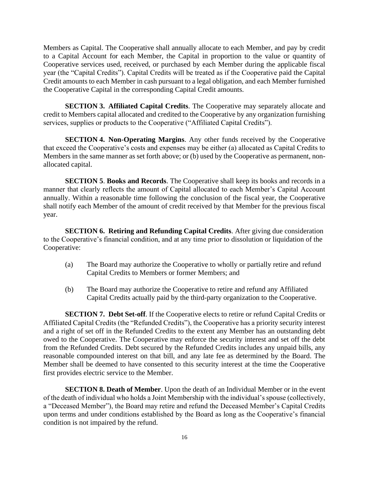Members as Capital. The Cooperative shall annually allocate to each Member, and pay by credit to a Capital Account for each Member, the Capital in proportion to the value or quantity of Cooperative services used, received, or purchased by each Member during the applicable fiscal year (the "Capital Credits"). Capital Credits will be treated as if the Cooperative paid the Capital Credit amounts to each Member in cash pursuant to a legal obligation, and each Member furnished the Cooperative Capital in the corresponding Capital Credit amounts.

**SECTION 3. Affiliated Capital Credits**. The Cooperative may separately allocate and credit to Members capital allocated and credited to the Cooperative by any organization furnishing services, supplies or products to the Cooperative ("Affiliated Capital Credits").

**SECTION 4. Non-Operating Margins**. Any other funds received by the Cooperative that exceed the Cooperative's costs and expenses may be either (a) allocated as Capital Credits to Members in the same manner as set forth above; or (b) used by the Cooperative as permanent, nonallocated capital.

**SECTION 5**. **Books and Records**. The Cooperative shall keep its books and records in a manner that clearly reflects the amount of Capital allocated to each Member's Capital Account annually. Within a reasonable time following the conclusion of the fiscal year, the Cooperative shall notify each Member of the amount of credit received by that Member for the previous fiscal year.

**SECTION 6. Retiring and Refunding Capital Credits**. After giving due consideration to the Cooperative's financial condition, and at any time prior to dissolution or liquidation of the Cooperative:

- (a) The Board may authorize the Cooperative to wholly or partially retire and refund Capital Credits to Members or former Members; and
- (b) The Board may authorize the Cooperative to retire and refund any Affiliated Capital Credits actually paid by the third-party organization to the Cooperative.

**SECTION 7. Debt Set-off**. If the Cooperative elects to retire or refund Capital Credits or Affiliated Capital Credits (the "Refunded Credits"), the Cooperative has a priority security interest and a right of set off in the Refunded Credits to the extent any Member has an outstanding debt owed to the Cooperative. The Cooperative may enforce the security interest and set off the debt from the Refunded Credits. Debt secured by the Refunded Credits includes any unpaid bills, any reasonable compounded interest on that bill, and any late fee as determined by the Board. The Member shall be deemed to have consented to this security interest at the time the Cooperative first provides electric service to the Member.

**SECTION 8. Death of Member**. Upon the death of an Individual Member or in the event of the death of individual who holds a Joint Membership with the individual's spouse (collectively, a "Deceased Member"), the Board may retire and refund the Deceased Member's Capital Credits upon terms and under conditions established by the Board as long as the Cooperative's financial condition is not impaired by the refund.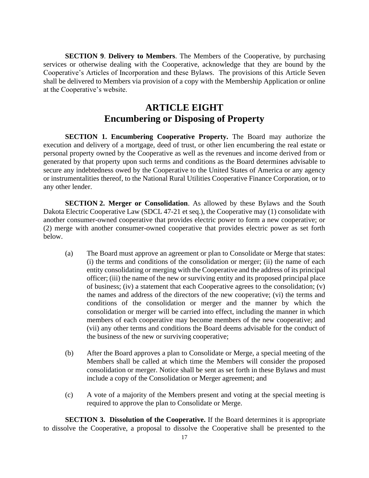**SECTION 9**. **Delivery to Members**. The Members of the Cooperative, by purchasing services or otherwise dealing with the Cooperative, acknowledge that they are bound by the Cooperative's Articles of Incorporation and these Bylaws. The provisions of this Article Seven shall be delivered to Members via provision of a copy with the Membership Application or online at the Cooperative's website.

### **ARTICLE EIGHT Encumbering or Disposing of Property**

**SECTION 1. Encumbering Cooperative Property.** The Board may authorize the execution and delivery of a mortgage, deed of trust, or other lien encumbering the real estate or personal property owned by the Cooperative as well as the revenues and income derived from or generated by that property upon such terms and conditions as the Board determines advisable to secure any indebtedness owed by the Cooperative to the United States of America or any agency or instrumentalities thereof, to the National Rural Utilities Cooperative Finance Corporation, or to any other lender.

**SECTION 2. Merger or Consolidation**. As allowed by these Bylaws and the South Dakota Electric Cooperative Law (SDCL 47-21 et seq.), the Cooperative may (1) consolidate with another consumer-owned cooperative that provides electric power to form a new cooperative; or (2) merge with another consumer-owned cooperative that provides electric power as set forth below.

- (a) The Board must approve an agreement or plan to Consolidate or Merge that states: (i) the terms and conditions of the consolidation or merger; (ii) the name of each entity consolidating or merging with the Cooperative and the address of its principal officer; (iii) the name of the new or surviving entity and its proposed principal place of business; (iv) a statement that each Cooperative agrees to the consolidation; (v) the names and address of the directors of the new cooperative; (vi) the terms and conditions of the consolidation or merger and the manner by which the consolidation or merger will be carried into effect, including the manner in which members of each cooperative may become members of the new cooperative; and (vii) any other terms and conditions the Board deems advisable for the conduct of the business of the new or surviving cooperative;
- (b) After the Board approves a plan to Consolidate or Merge, a special meeting of the Members shall be called at which time the Members will consider the proposed consolidation or merger. Notice shall be sent as set forth in these Bylaws and must include a copy of the Consolidation or Merger agreement; and
- (c) A vote of a majority of the Members present and voting at the special meeting is required to approve the plan to Consolidate or Merge.

**SECTION 3. Dissolution of the Cooperative.** If the Board determines it is appropriate to dissolve the Cooperative, a proposal to dissolve the Cooperative shall be presented to the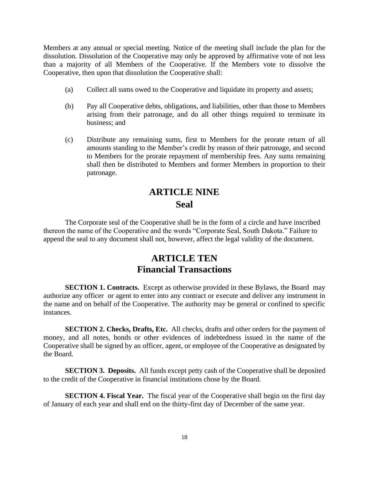Members at any annual or special meeting. Notice of the meeting shall include the plan for the dissolution. Dissolution of the Cooperative may only be approved by affirmative vote of not less than a majority of all Members of the Cooperative. If the Members vote to dissolve the Cooperative, then upon that dissolution the Cooperative shall:

- (a) Collect all sums owed to the Cooperative and liquidate its property and assets;
- (b) Pay all Cooperative debts, obligations, and liabilities, other than those to Members arising from their patronage, and do all other things required to terminate its business; and
- (c) Distribute any remaining sums, first to Members for the prorate return of all amounts standing to the Member's credit by reason of their patronage, and second to Members for the prorate repayment of membership fees. Any sums remaining shall then be distributed to Members and former Members in proportion to their patronage.

# **ARTICLE NINE Seal**

The Corporate seal of the Cooperative shall be in the form of a circle and have inscribed thereon the name of the Cooperative and the words "Corporate Seal, South Dakota." Failure to append the seal to any document shall not, however, affect the legal validity of the document.

## **ARTICLE TEN Financial Transactions**

**SECTION 1. Contracts.** Except as otherwise provided in these Bylaws, the Board may authorize any officer or agent to enter into any contract or execute and deliver any instrument in the name and on behalf of the Cooperative. The authority may be general or confined to specific instances.

**SECTION 2. Checks, Drafts, Etc.** All checks, drafts and other orders for the payment of money, and all notes, bonds or other evidences of indebtedness issued in the name of the Cooperative shall be signed by an officer, agent, or employee of the Cooperative as designated by the Board.

**SECTION 3. Deposits.** All funds except petty cash of the Cooperative shall be deposited to the credit of the Cooperative in financial institutions chose by the Board.

**SECTION 4. Fiscal Year.** The fiscal year of the Cooperative shall begin on the first day of January of each year and shall end on the thirty-first day of December of the same year.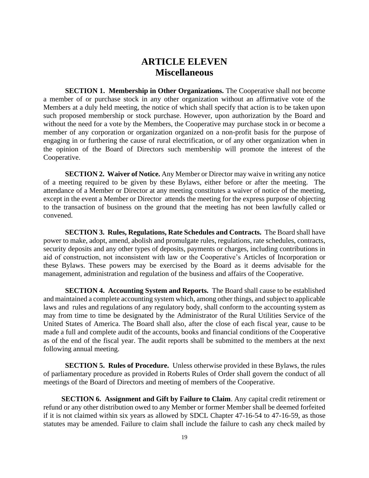### **ARTICLE ELEVEN Miscellaneous**

**SECTION 1. Membership in Other Organizations.** The Cooperative shall not become a member of or purchase stock in any other organization without an affirmative vote of the Members at a duly held meeting, the notice of which shall specify that action is to be taken upon such proposed membership or stock purchase. However, upon authorization by the Board and without the need for a vote by the Members, the Cooperative may purchase stock in or become a member of any corporation or organization organized on a non-profit basis for the purpose of engaging in or furthering the cause of rural electrification, or of any other organization when in the opinion of the Board of Directors such membership will promote the interest of the Cooperative.

**SECTION 2. Waiver of Notice.** Any Member or Director may waive in writing any notice of a meeting required to be given by these Bylaws, either before or after the meeting. The attendance of a Member or Director at any meeting constitutes a waiver of notice of the meeting, except in the event a Member or Director attends the meeting for the express purpose of objecting to the transaction of business on the ground that the meeting has not been lawfully called or convened.

**SECTION 3. Rules, Regulations, Rate Schedules and Contracts.** The Board shall have power to make, adopt, amend, abolish and promulgate rules, regulations, rate schedules, contracts, security deposits and any other types of deposits, payments or charges, including contributions in aid of construction, not inconsistent with law or the Cooperative's Articles of Incorporation or these Bylaws. These powers may be exercised by the Board as it deems advisable for the management, administration and regulation of the business and affairs of the Cooperative.

**SECTION 4. Accounting System and Reports.** The Board shall cause to be established and maintained a complete accounting system which, among other things, and subject to applicable laws and rules and regulations of any regulatory body, shall conform to the accounting system as may from time to time be designated by the Administrator of the Rural Utilities Service of the United States of America. The Board shall also, after the close of each fiscal year, cause to be made a full and complete audit of the accounts, books and financial conditions of the Cooperative as of the end of the fiscal year. The audit reports shall be submitted to the members at the next following annual meeting.

**SECTION 5. Rules of Procedure.** Unless otherwise provided in these Bylaws, the rules of parliamentary procedure as provided in Roberts Rules of Order shall govern the conduct of all meetings of the Board of Directors and meeting of members of the Cooperative.

**SECTION 6. Assignment and Gift by Failure to Claim.** Any capital credit retirement or refund or any other distribution owed to any Member or former Member shall be deemed forfeited if it is not claimed within six years as allowed by SDCL Chapter 47-16-54 to 47-16-59, as those statutes may be amended. Failure to claim shall include the failure to cash any check mailed by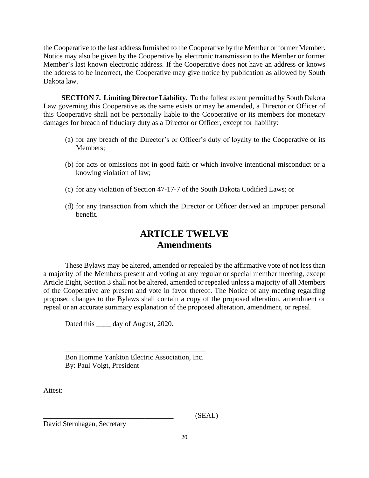the Cooperative to the last address furnished to the Cooperative by the Member or former Member. Notice may also be given by the Cooperative by electronic transmission to the Member or former Member's last known electronic address. If the Cooperative does not have an address or knows the address to be incorrect, the Cooperative may give notice by publication as allowed by South Dakota law.

**SECTION 7. Limiting Director Liability.** To the fullest extent permitted by South Dakota Law governing this Cooperative as the same exists or may be amended, a Director or Officer of this Cooperative shall not be personally liable to the Cooperative or its members for monetary damages for breach of fiduciary duty as a Director or Officer, except for liability:

- (a) for any breach of the Director's or Officer's duty of loyalty to the Cooperative or its Members;
- (b) for acts or omissions not in good faith or which involve intentional misconduct or a knowing violation of law;
- (c) for any violation of Section 47-17-7 of the South Dakota Codified Laws; or
- (d) for any transaction from which the Director or Officer derived an improper personal benefit.

# **ARTICLE TWELVE Amendments**

These Bylaws may be altered, amended or repealed by the affirmative vote of not less than a majority of the Members present and voting at any regular or special member meeting, except Article Eight, Section 3 shall not be altered, amended or repealed unless a majority of all Members of the Cooperative are present and vote in favor thereof. The Notice of any meeting regarding proposed changes to the Bylaws shall contain a copy of the proposed alteration, amendment or repeal or an accurate summary explanation of the proposed alteration, amendment, or repeal.

Dated this <u>equal</u> day of August, 2020.

Bon Homme Yankton Electric Association, Inc. By: Paul Voigt, President

\_\_\_\_\_\_\_\_\_\_\_\_\_\_\_\_\_\_\_\_\_\_\_\_\_\_\_\_\_\_\_\_\_\_\_\_\_\_\_

Attest:

 $(SEAL)$ 

David Sternhagen, Secretary